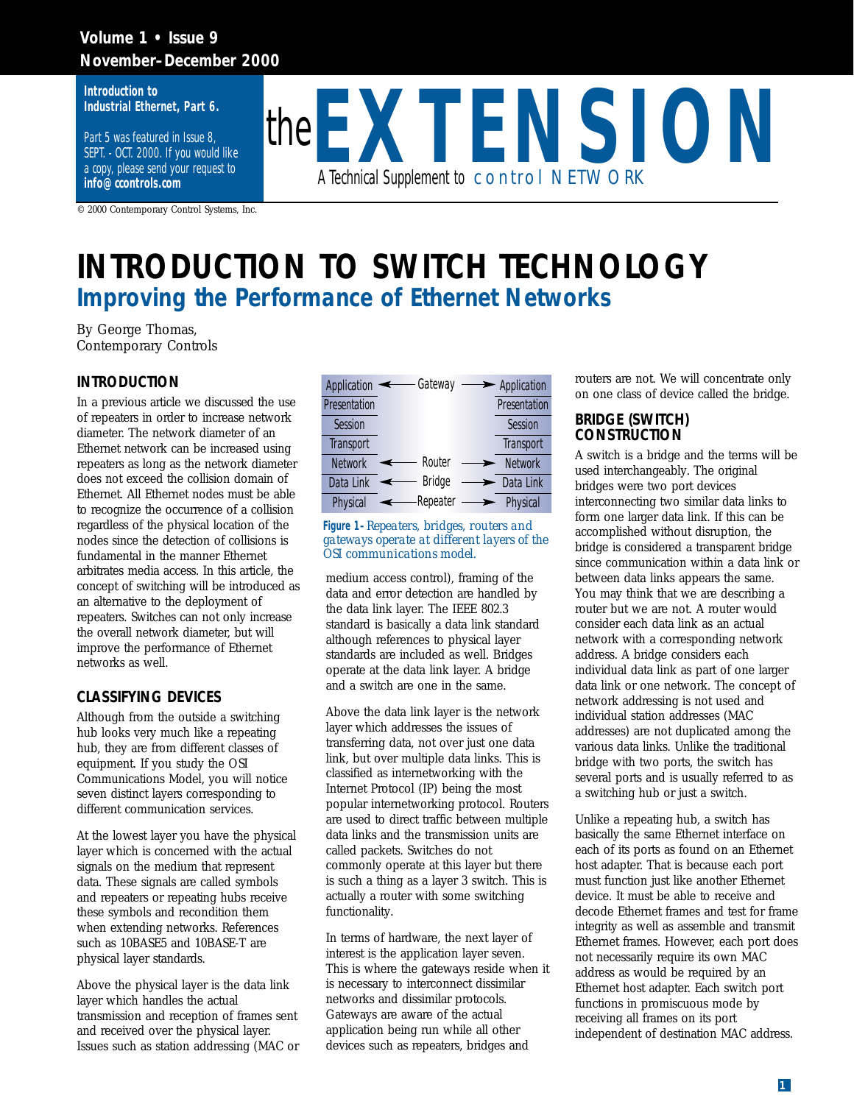### **Volume 1 • Issue 9 November–December 2000**

**Introduction to Industrial Ethernet, Part 6.** 

Part 5 was featured in Issue 8, SEPT. - OCT. 2000. If you would like a copy, please send your request to **info@ccontrols.com**

© 2000 Contemporary Control Systems, Inc.



# **INTRODUCTION TO SWITCH TECHNOLOGY** *Improving the Performance of Ethernet Networks*

By George Thomas, Contemporary Controls

#### **INTRODUCTION**

In a previous article we discussed the use of repeaters in order to increase network diameter. The network diameter of an Ethernet network can be increased using repeaters as long as the network diameter does not exceed the collision domain of Ethernet. All Ethernet nodes must be able to recognize the occurrence of a collision regardless of the physical location of the nodes since the detection of collisions is fundamental in the manner Ethernet arbitrates media access. In this article, the concept of switching will be introduced as an alternative to the deployment of repeaters. Switches can not only increase the overall network diameter, but will improve the performance of Ethernet networks as well.

#### **CLASSIFYING DEVICES**

Although from the outside a switching hub looks very much like a repeating hub, they are from different classes of equipment. If you study the OSI Communications Model, you will notice seven distinct layers corresponding to different communication services.

At the lowest layer you have the physical layer which is concerned with the actual signals on the medium that represent data. These signals are called symbols and repeaters or repeating hubs receive these symbols and recondition them when extending networks. References such as 10BASE5 and 10BASE-T are physical layer standards.

Above the physical layer is the data link layer which handles the actual transmission and reception of frames sent and received over the physical layer. Issues such as station addressing (MAC or

| <b>Application</b> | Gateway       | - Application    |
|--------------------|---------------|------------------|
| Presentation       |               | Presentation     |
| <b>Session</b>     |               | <b>Session</b>   |
| <b>Transport</b>   |               | <b>Transport</b> |
| <b>Network</b>     | — Router      | <b>Network</b>   |
| Data Link          | <b>Bridge</b> | Data Link        |
| <b>Physical</b>    | -Repeater     | <b>Physical</b>  |

#### **Figure 1–***Repeaters, bridges, routers and gateways operate at different layers of the OSI communications model.*

medium access control), framing of the data and error detection are handled by the data link layer. The IEEE 802.3 standard is basically a data link standard although references to physical layer standards are included as well. Bridges operate at the data link layer. A bridge and a switch are one in the same.

Above the data link layer is the network layer which addresses the issues of transferring data, not over just one data link, but over multiple data links. This is classified as internetworking with the Internet Protocol (IP) being the most popular internetworking protocol. Routers are used to direct traffic between multiple data links and the transmission units are called packets. Switches do not commonly operate at this layer but there is such a thing as a layer 3 switch. This is actually a router with some switching functionality.

In terms of hardware, the next layer of interest is the application layer seven. This is where the gateways reside when it is necessary to interconnect dissimilar networks and dissimilar protocols. Gateways are aware of the actual application being run while all other devices such as repeaters, bridges and

routers are not. We will concentrate only on one class of device called the bridge.

#### **BRIDGE (SWITCH) CONSTRUCTION**

A switch is a bridge and the terms will be used interchangeably. The original bridges were two port devices interconnecting two similar data links to form one larger data link. If this can be accomplished without disruption, the bridge is considered a transparent bridge since communication within a data link or between data links appears the same. You may think that we are describing a router but we are not. A router would consider each data link as an actual network with a corresponding network address. A bridge considers each individual data link as part of one larger data link or one network. The concept of network addressing is not used and individual station addresses (MAC addresses) are not duplicated among the various data links. Unlike the traditional bridge with two ports, the switch has several ports and is usually referred to as a switching hub or just a switch.

Unlike a repeating hub, a switch has basically the same Ethernet interface on each of its ports as found on an Ethernet host adapter. That is because each port must function just like another Ethernet device. It must be able to receive and decode Ethernet frames and test for frame integrity as well as assemble and transmit Ethernet frames. However, each port does not necessarily require its own MAC address as would be required by an Ethernet host adapter. Each switch port functions in promiscuous mode by receiving all frames on its port independent of destination MAC address.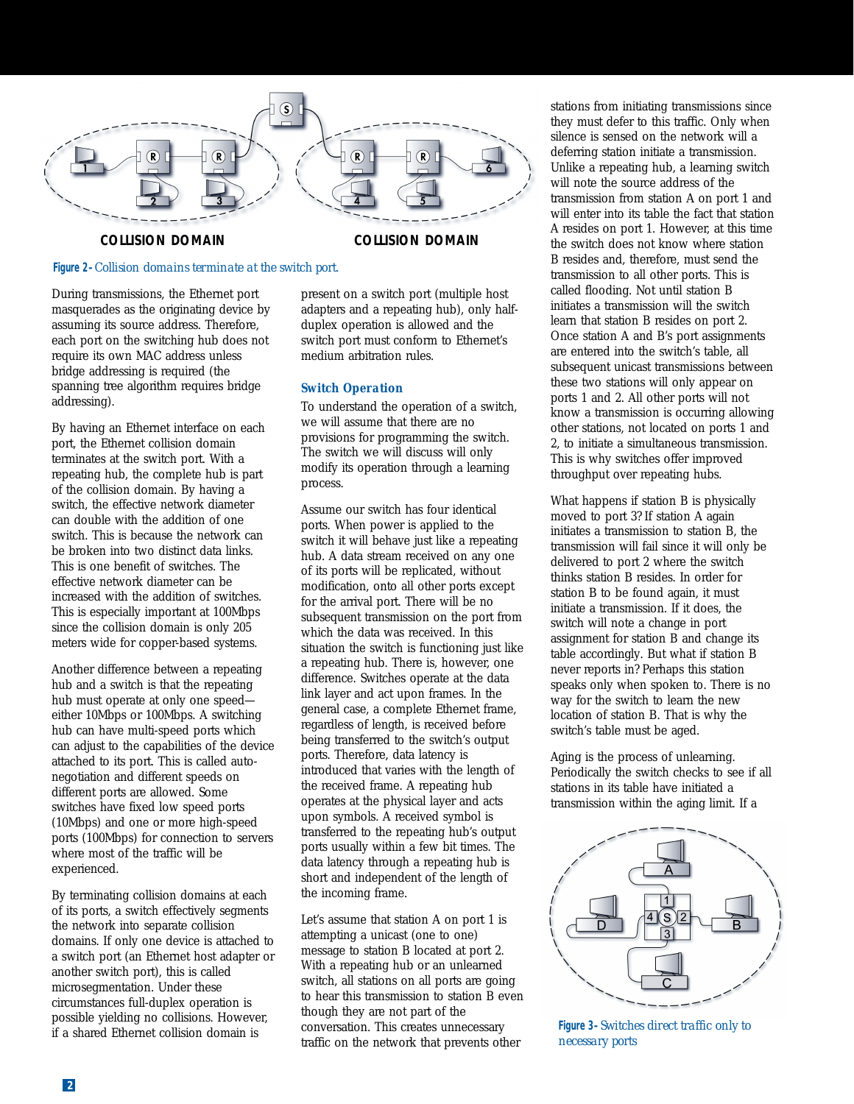

#### **COLLISION DOMAIN COLLISION DOMAIN**

#### **Figure 2–***Collision domains terminate at the switch port.*

During transmissions, the Ethernet port masquerades as the originating device by assuming its source address. Therefore, each port on the switching hub does not require its own MAC address unless bridge addressing is required (the spanning tree algorithm requires bridge addressing).

By having an Ethernet interface on each port, the Ethernet collision domain terminates at the switch port. With a repeating hub, the complete hub is part of the collision domain. By having a switch, the effective network diameter can double with the addition of one switch. This is because the network can be broken into two distinct data links. This is one benefit of switches. The effective network diameter can be increased with the addition of switches. This is especially important at 100Mbps since the collision domain is only 205 meters wide for copper-based systems.

Another difference between a repeating hub and a switch is that the repeating hub must operate at only one speed either 10Mbps or 100Mbps. A switching hub can have multi-speed ports which can adjust to the capabilities of the device attached to its port. This is called autonegotiation and different speeds on different ports are allowed. Some switches have fixed low speed ports (10Mbps) and one or more high-speed ports (100Mbps) for connection to servers where most of the traffic will be experienced.

By terminating collision domains at each of its ports, a switch effectively segments the network into separate collision domains. If only one device is attached to a switch port (an Ethernet host adapter or another switch port), this is called microsegmentation. Under these circumstances full-duplex operation is possible yielding no collisions. However, if a shared Ethernet collision domain is

present on a switch port (multiple host adapters and a repeating hub), only halfduplex operation is allowed and the switch port must conform to Ethernet's medium arbitration rules.

#### *Switch Operation*

To understand the operation of a switch, we will assume that there are no provisions for programming the switch. The switch we will discuss will only modify its operation through a learning process.

Assume our switch has four identical ports. When power is applied to the switch it will behave just like a repeating hub. A data stream received on any one of its ports will be replicated, without modification, onto all other ports except for the arrival port. There will be no subsequent transmission on the port from which the data was received. In this situation the switch is functioning just like a repeating hub. There is, however, one difference. Switches operate at the data link layer and act upon frames. In the general case, a complete Ethernet frame, regardless of length, is received before being transferred to the switch's output ports. Therefore, data latency is introduced that varies with the length of the received frame. A repeating hub operates at the physical layer and acts upon symbols. A received symbol is transferred to the repeating hub's output ports usually within a few bit times. The data latency through a repeating hub is short and independent of the length of the incoming frame.

Let's assume that station A on port 1 is attempting a unicast (one to one) message to station B located at port 2. With a repeating hub or an unlearned switch, all stations on all ports are going to hear this transmission to station B even though they are not part of the conversation. This creates unnecessary traffic on the network that prevents other

stations from initiating transmissions since they must defer to this traffic. Only when silence is sensed on the network will a deferring station initiate a transmission. Unlike a repeating hub, a learning switch will note the source address of the transmission from station A on port 1 and will enter into its table the fact that station A resides on port 1. However, at this time the switch does not know where station B resides and, therefore, must send the transmission to all other ports. This is called flooding. Not until station B initiates a transmission will the switch learn that station B resides on port 2. Once station A and B's port assignments are entered into the switch's table, all subsequent unicast transmissions between these two stations will only appear on ports 1 and 2. All other ports will not know a transmission is occurring allowing other stations, not located on ports 1 and 2, to initiate a simultaneous transmission. This is why switches offer improved throughput over repeating hubs.

What happens if station B is physically moved to port 3? If station A again initiates a transmission to station B, the transmission will fail since it will only be delivered to port 2 where the switch thinks station B resides. In order for station B to be found again, it must initiate a transmission. If it does, the switch will note a change in port assignment for station B and change its table accordingly. But what if station B never reports in? Perhaps this station speaks only when spoken to. There is no way for the switch to learn the new location of station B. That is why the switch's table must be aged.

Aging is the process of unlearning. Periodically the switch checks to see if all stations in its table have initiated a transmission within the aging limit. If a



**Figure 3–***Switches direct traffic only to necessary ports*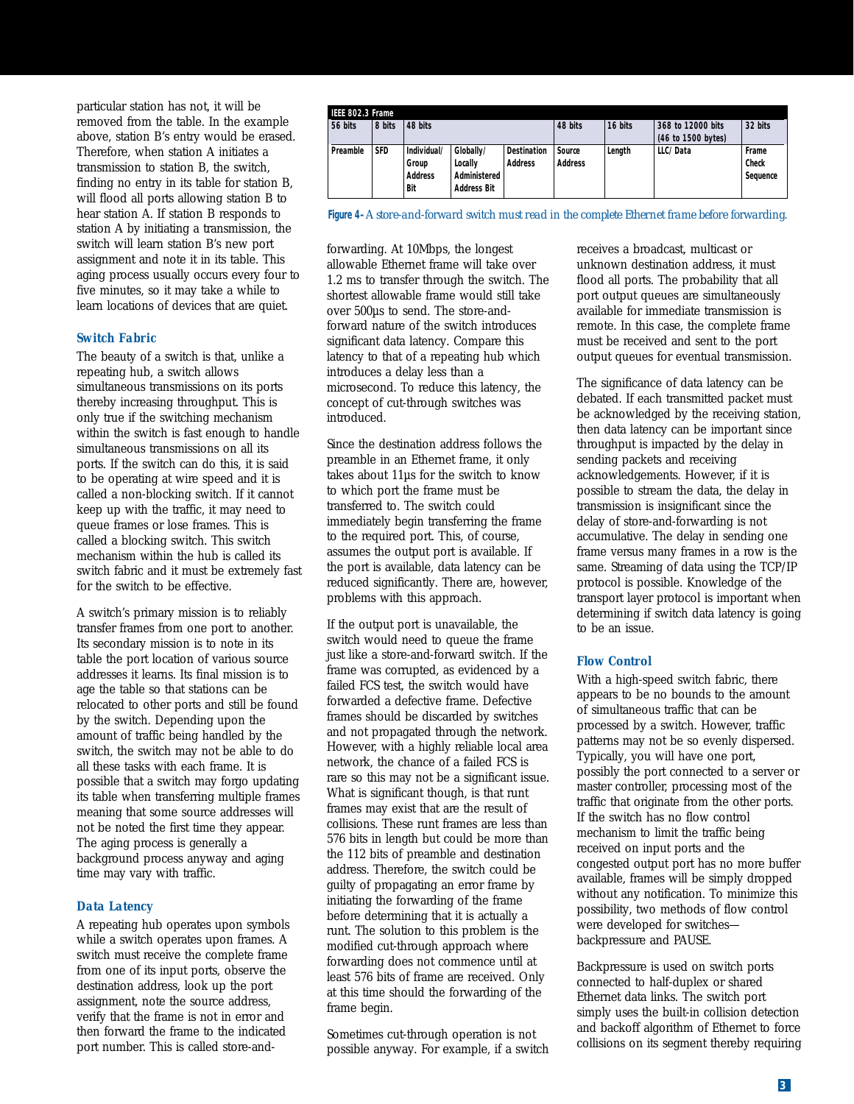particular station has not, it will be removed from the table. In the example above, station B's entry would be erased. Therefore, when station A initiates a transmission to station B, the switch, finding no entry in its table for station B, will flood all ports allowing station B to hear station A. If station B responds to station A by initiating a transmission, the switch will learn station B's new port assignment and note it in its table. This aging process usually occurs every four to five minutes, so it may take a while to learn locations of devices that are quiet.

#### *Switch Fabric*

The beauty of a switch is that, unlike a repeating hub, a switch allows simultaneous transmissions on its ports thereby increasing throughput. This is only true if the switching mechanism within the switch is fast enough to handle simultaneous transmissions on all its ports. If the switch can do this, it is said to be operating at wire speed and it is called a non-blocking switch. If it cannot keep up with the traffic, it may need to queue frames or lose frames. This is called a blocking switch. This switch mechanism within the hub is called its switch fabric and it must be extremely fast for the switch to be effective.

A switch's primary mission is to reliably transfer frames from one port to another. Its secondary mission is to note in its table the port location of various source addresses it learns. Its final mission is to age the table so that stations can be relocated to other ports and still be found by the switch. Depending upon the amount of traffic being handled by the switch, the switch may not be able to do all these tasks with each frame. It is possible that a switch may forgo updating its table when transferring multiple frames meaning that some source addresses will not be noted the first time they appear. The aging process is generally a background process anyway and aging time may vary with traffic.

#### *Data Latency*

A repeating hub operates upon symbols while a switch operates upon frames. A switch must receive the complete frame from one of its input ports, observe the destination address, look up the port assignment, note the source address, verify that the frame is not in error and then forward the frame to the indicated port number. This is called store-and-

| 8 bits<br>56 bits |            | 48 bits        |                    |                    | 48 bits        | 16 bits | 368 to 12000 bits  | 32 bits      |
|-------------------|------------|----------------|--------------------|--------------------|----------------|---------|--------------------|--------------|
|                   |            |                |                    |                    |                |         | (46 to 1500 bytes) |              |
| Preamble          | <b>SFD</b> | Individual/    | Globally/          | <b>Destination</b> | Source         | Length  | LLC/Data           | Frame        |
|                   |            | Group          | Locally            | <b>Address</b>     | <b>Address</b> |         |                    | <b>Check</b> |
|                   |            | <b>Address</b> | Administered       |                    |                |         |                    | Sequence     |
|                   |            | Bit            | <b>Address Bit</b> |                    |                |         |                    |              |

**Figure 4–***A store-and-forward switch must read in the complete Ethernet frame before forwarding.*

forwarding. At 10Mbps, the longest allowable Ethernet frame will take over 1.2 ms to transfer through the switch. The shortest allowable frame would still take over 500µs to send. The store-andforward nature of the switch introduces significant data latency. Compare this latency to that of a repeating hub which introduces a delay less than a microsecond. To reduce this latency, the concept of cut-through switches was introduced.

Since the destination address follows the preamble in an Ethernet frame, it only takes about 11µs for the switch to know to which port the frame must be transferred to. The switch could immediately begin transferring the frame to the required port. This, of course, assumes the output port is available. If the port is available, data latency can be reduced significantly. There are, however, problems with this approach.

If the output port is unavailable, the switch would need to queue the frame just like a store-and-forward switch. If the frame was corrupted, as evidenced by a failed FCS test, the switch would have forwarded a defective frame. Defective frames should be discarded by switches and not propagated through the network. However, with a highly reliable local area network, the chance of a failed FCS is rare so this may not be a significant issue. What is significant though, is that runt frames may exist that are the result of collisions. These runt frames are less than 576 bits in length but could be more than the 112 bits of preamble and destination address. Therefore, the switch could be guilty of propagating an error frame by initiating the forwarding of the frame before determining that it is actually a runt. The solution to this problem is the modified cut-through approach where forwarding does not commence until at least 576 bits of frame are received. Only at this time should the forwarding of the frame begin.

Sometimes cut-through operation is not possible anyway. For example, if a switch receives a broadcast, multicast or unknown destination address, it must flood all ports. The probability that all port output queues are simultaneously available for immediate transmission is remote. In this case, the complete frame must be received and sent to the port output queues for eventual transmission.

The significance of data latency can be debated. If each transmitted packet must be acknowledged by the receiving station, then data latency can be important since throughput is impacted by the delay in sending packets and receiving acknowledgements. However, if it is possible to stream the data, the delay in transmission is insignificant since the delay of store-and-forwarding is not accumulative. The delay in sending one frame versus many frames in a row is the same. Streaming of data using the TCP/IP protocol is possible. Knowledge of the transport layer protocol is important when determining if switch data latency is going to be an issue.

#### *Flow Control*

With a high-speed switch fabric, there appears to be no bounds to the amount of simultaneous traffic that can be processed by a switch. However, traffic patterns may not be so evenly dispersed. Typically, you will have one port, possibly the port connected to a server or master controller, processing most of the traffic that originate from the other ports. If the switch has no flow control mechanism to limit the traffic being received on input ports and the congested output port has no more buffer available, frames will be simply dropped without any notification. To minimize this possibility, two methods of flow control were developed for switches backpressure and PAUSE.

Backpressure is used on switch ports connected to half-duplex or shared Ethernet data links. The switch port simply uses the built-in collision detection and backoff algorithm of Ethernet to force collisions on its segment thereby requiring